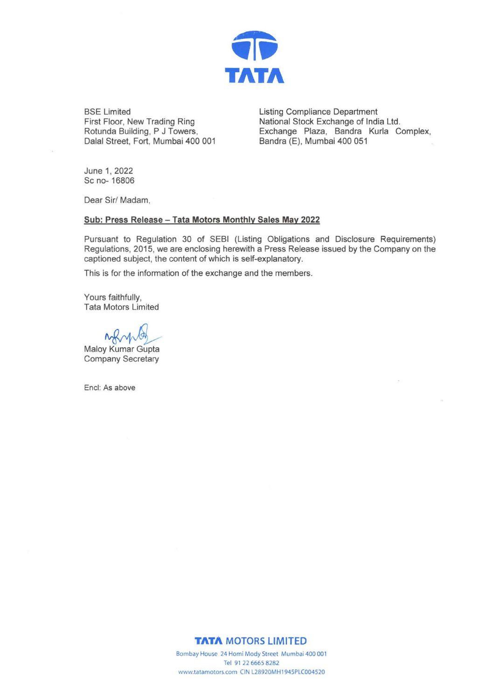

BSE Limited **Listing Compliance Department** First Floor, New Trading Ring Rotunda Building, P J Towers, Dalal Street, Fort, Mumbai 400 001

National Stock Exchange of India Ltd. Exchange Plaza, Sandra Kurla Complex, Sandra (E), Mumbai 400 051

June 1, 2022 Sc no- 16806

Dear Sir/ Madam,

#### **Sub: Press Release- Tata Motors Monthly Sales May 2022**

Pursuant to Regulation 30 of SEBI (Listing Obligations and Disclosure Requirements) Regulations, 2015, we are enclosing herewith a Press Release issued by the Company on the captioned subject, the content of which is self-explanatory.

This is for the information of the exchange and the members.

Yours faithfully, Tata Motors Limited

Tata Motors Limited<br>
Maloy Kumar Gupta

Company Secretary

Encl: As above

#### **TATA MOTORS LIMITED**

Bombay House 24 Homi Mody Street Mumbai 400 001 Tel 91 22 6665 8282 www.tatamotors.com CIN L28920MH1945PLC004520